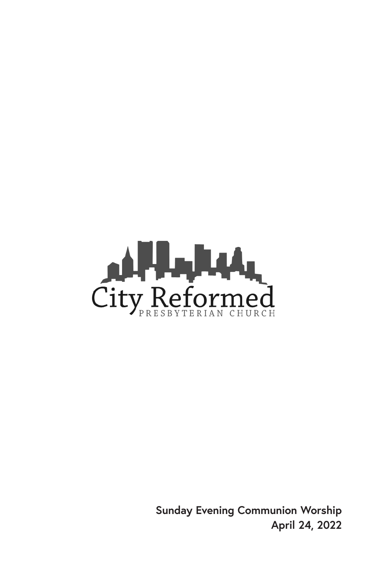

**Sunday Evening Communion Worship April 24, 2022**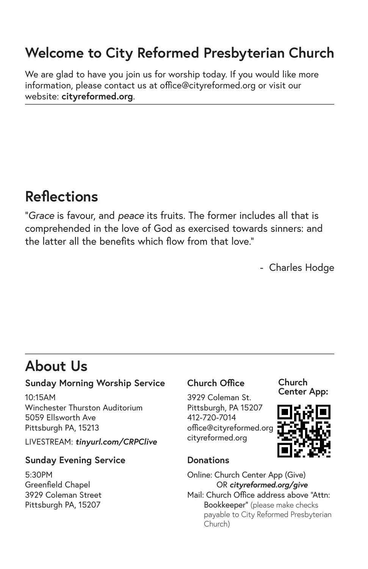# **Welcome to City Reformed Presbyterian Church**

We are glad to have you join us for worship today. If you would like more information, please contact us at office@cityreformed.org or visit our website: **cityreformed.org**.

### **Reflections**

"*Grace* is favour, and *peace* its fruits. The former includes all that is comprehended in the love of God as exercised towards sinners: and the latter all the benefits which flow from that love."

- Charles Hodge

# **About Us**

#### **Sunday Morning Worship Service**

10:15AM Winchester Thurston Auditorium 5059 Ellsworth Ave Pittsburgh PA, 15213

LIVESTREAM: *tinyurl.com/CRPClive*

#### **Sunday Evening Service**

5:30PM Greenfield Chapel 3929 Coleman Street Pittsburgh PA, 15207

#### **Church Office**

3929 Coleman St. Pittsburgh, PA 15207 412-720-7014 office@cityreformed.org cityreformed.org

**Church Center App:**



#### **Donations**

Online: Church Center App (Give) OR *cityreformed.org/give* Mail: Church Office address above "Attn: Bookkeeper" (please make checks payable to City Reformed Presbyterian Church)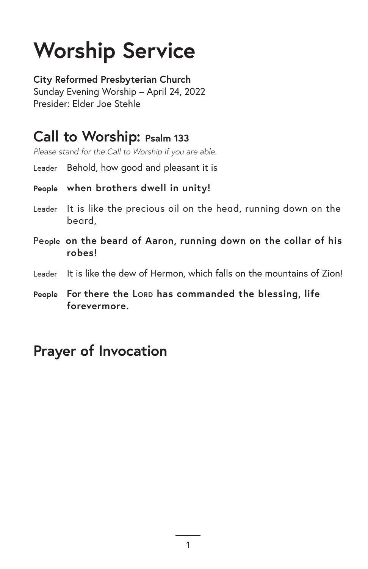# **Worship Service**

**City Reformed Presbyterian Church** Sunday Evening Worship – April 24, 2022 Presider: Elder Joe Stehle

### **Call to Worship: Psalm 133**

*Please stand for the Call to Worship if you are able.*

Leader Behold, how good and pleasant it is

- **People when brothers dwell in unity!**
- Leader It is like the precious oil on the head, running down on the beard,
- Pe**ople on the beard of Aaron, running down on the collar of his robes!**
- Leader It is like the dew of Hermon, which falls on the mountains of Zion!
- **People For there the Lord has commanded the blessing, life forevermore.**

# **Prayer of Invocation**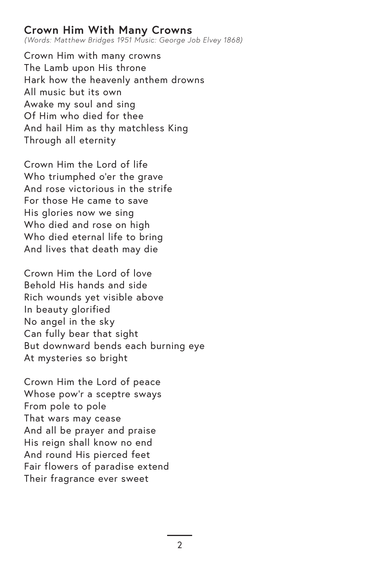### **Crown Him With Many Crowns**

*(Words: Matthew Bridges 1951 Music: George Job Elvey 1868)*

Crown Him with many crowns The Lamb upon His throne Hark how the heavenly anthem drowns All music but its own Awake my soul and sing Of Him who died for thee And hail Him as thy matchless King Through all eternity

Crown Him the Lord of life Who triumphed o'er the grave And rose victorious in the strife For those He came to save His glories now we sing Who died and rose on high Who died eternal life to bring And lives that death may die

Crown Him the Lord of love Behold His hands and side Rich wounds yet visible above In beauty glorified No angel in the sky Can fully bear that sight But downward bends each burning eye At mysteries so bright

Crown Him the Lord of peace Whose pow'r a sceptre sways From pole to pole That wars may cease And all be prayer and praise His reign shall know no end And round His pierced feet Fair flowers of paradise extend Their fragrance ever sweet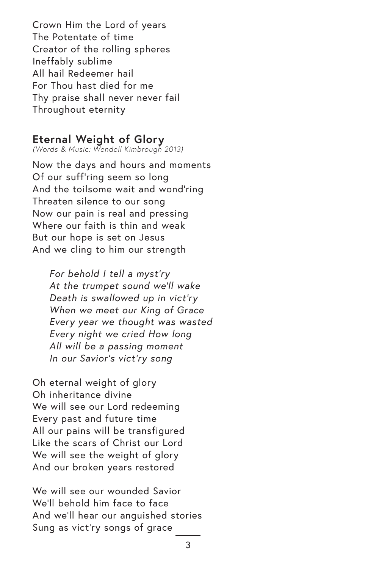Crown Him the Lord of years The Potentate of time Creator of the rolling spheres Ineffably sublime All hail Redeemer hail For Thou hast died for me Thy praise shall never never fail Throughout eternity

### **Eternal Weight of Glory**

*(Words & Music: Wendell Kimbrough 2013)*

Now the days and hours and moments Of our suff'ring seem so long And the toilsome wait and wond'ring Threaten silence to our song Now our pain is real and pressing Where our faith is thin and weak But our hope is set on Jesus And we cling to him our strength

*For behold I tell a myst'ry At the trumpet sound we'll wake Death is swallowed up in vict'ry When we meet our King of Grace Every year we thought was wasted Every night we cried How long All will be a passing moment In our Savior's vict'ry song*

Oh eternal weight of glory Oh inheritance divine We will see our Lord redeeming Every past and future time All our pains will be transfigured Like the scars of Christ our Lord We will see the weight of glory And our broken years restored

We will see our wounded Savior We'll behold him face to face And we'll hear our anguished stories Sung as vict'ry songs of grace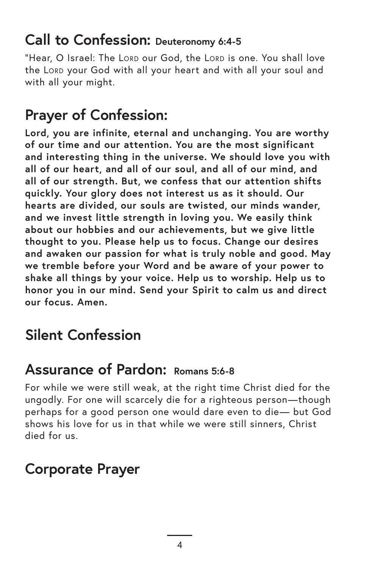### **Call to Confession: Deuteronomy 6:4-5**

"Hear, O Israel: The LORD our God, the LORD is one. You shall love the LORD your God with all your heart and with all your soul and with all your might.

# **Prayer of Confession:**

**Lord, you are infinite, eternal and unchanging. You are worthy of our time and our attention. You are the most significant and interesting thing in the universe. We should love you with all of our heart, and all of our soul, and all of our mind, and all of our strength. But, we confess that our attention shifts quickly. Your glory does not interest us as it should. Our hearts are divided, our souls are twisted, our minds wander, and we invest little strength in loving you. We easily think about our hobbies and our achievements, but we give little thought to you. Please help us to focus. Change our desires and awaken our passion for what is truly noble and good. May we tremble before your Word and be aware of your power to shake all things by your voice. Help us to worship. Help us to honor you in our mind. Send your Spirit to calm us and direct our focus. Amen.**

# **Silent Confession**

### **Assurance of Pardon: Romans 5:6-8**

For while we were still weak, at the right time Christ died for the ungodly. For one will scarcely die for a righteous person—though perhaps for a good person one would dare even to die— but God shows his love for us in that while we were still sinners, Christ died for us.

# **Corporate Prayer**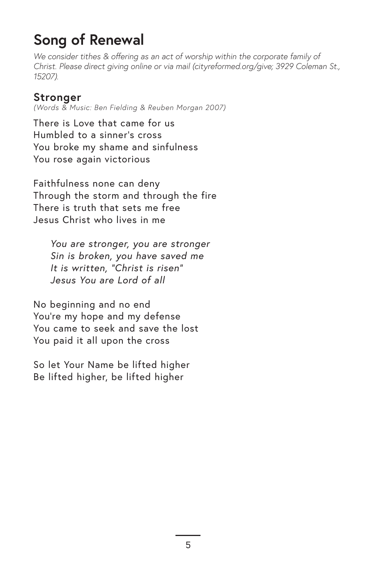# **Song of Renewal**

We consider tithes & offering as an act of worship within the corporate family of *Christ. Please direct giving online or via mail (cityreformed.org/give; 3929 Coleman St., 15207).*

### **Stronger**

*(Words & Music: Ben Fielding & Reuben Morgan 2007)*

There is Love that came for us Humbled to a sinner's cross You broke my shame and sinfulness You rose again victorious

Faithfulness none can deny Through the storm and through the fire There is truth that sets me free Jesus Christ who lives in me

*You are stronger, you are stronger Sin is broken, you have saved me It is written, "Christ is risen" Jesus You are Lord of all*

No beginning and no end You're my hope and my defense You came to seek and save the lost You paid it all upon the cross

So let Your Name be lifted higher Be lifted higher, be lifted higher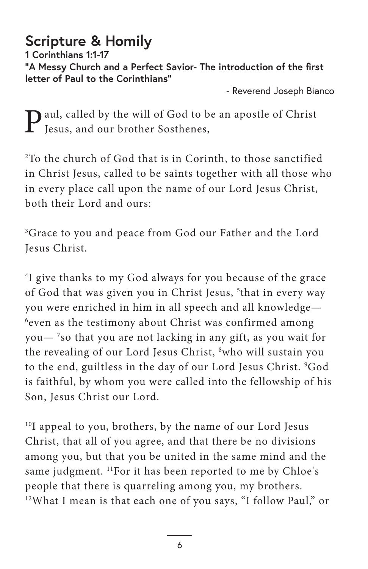# **Scripture & Homily**

**1 Corinthians 1:1-17 "A Messy Church and a Perfect Savior- The introduction of the first letter of Paul to the Corinthians"**

- Reverend Joseph Bianco

Paul, called by the will of God to be an apostle of Christ Jesus, and our brother Sosthenes,

2 To the church of God that is in Corinth, to those sanctified in Christ Jesus, called to be saints together with all those who in every place call upon the name of our Lord Jesus Christ, both their Lord and ours:

3 Grace to you and peace from God our Father and the Lord Jesus Christ.

4 I give thanks to my God always for you because of the grace of God that was given you in Christ Jesus, <sup>5</sup>that in every way you were enriched in him in all speech and all knowledge— 6 even as the testimony about Christ was confirmed among you— 7 so that you are not lacking in any gift, as you wait for the revealing of our Lord Jesus Christ, <sup>8</sup>who will sustain you to the end, guiltless in the day of our Lord Jesus Christ. 9 God is faithful, by whom you were called into the fellowship of his Son, Jesus Christ our Lord.

10I appeal to you, brothers, by the name of our Lord Jesus Christ, that all of you agree, and that there be no divisions among you, but that you be united in the same mind and the same judgment. 11For it has been reported to me by Chloe's people that there is quarreling among you, my brothers. <sup>12</sup>What I mean is that each one of you says, "I follow Paul," or

6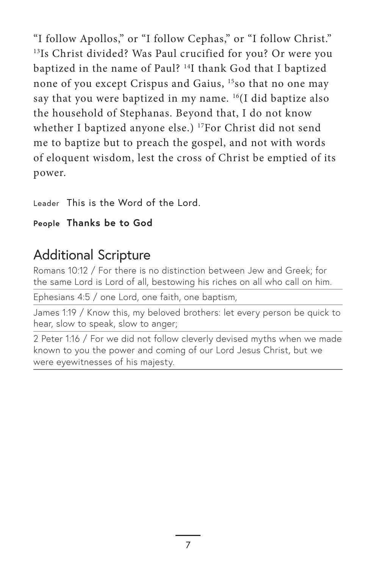"I follow Apollos," or "I follow Cephas," or "I follow Christ." <sup>13</sup>Is Christ divided? Was Paul crucified for you? Or were you baptized in the name of Paul? 14I thank God that I baptized none of you except Crispus and Gaius, 15so that no one may say that you were baptized in my name. 16(I did baptize also the household of Stephanas. Beyond that, I do not know whether I baptized anyone else.) 17For Christ did not send me to baptize but to preach the gospel, and not with words of eloquent wisdom, lest the cross of Christ be emptied of its power.

Leader This is the Word of the Lord.

### **People Thanks be to God**

### Additional Scripture

Romans 10:12 / For there is no distinction between Jew and Greek; for the same Lord is Lord of all, bestowing his riches on all who call on him.

Ephesians 4:5 / one Lord, one faith, one baptism,

James 1:19 / Know this, my beloved brothers: let every person be quick to hear, slow to speak, slow to anger;

2 Peter 1:16 / For we did not follow cleverly devised myths when we made known to you the power and coming of our Lord Jesus Christ, but we were eyewitnesses of his majesty.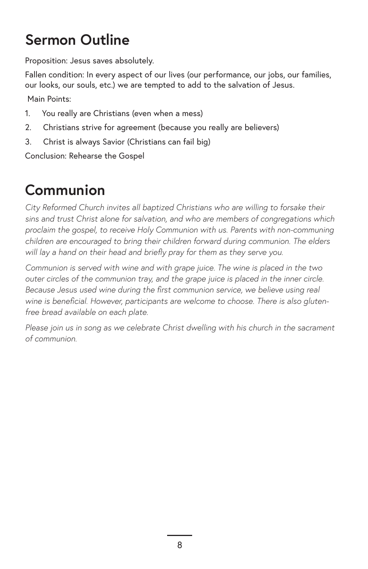# **Sermon Outline**

Proposition: Jesus saves absolutely.

Fallen condition: In every aspect of our lives (our performance, our jobs, our families, our looks, our souls, etc.) we are tempted to add to the salvation of Jesus.

Main Points:

- 1. You really are Christians (even when a mess)
- 2. Christians strive for agreement (because you really are believers)
- 3. Christ is always Savior (Christians can fail big)

Conclusion: Rehearse the Gospel

# **Communion**

*City Reformed Church invites all baptized Christians who are willing to forsake their sins and trust Christ alone for salvation, and who are members of congregations which proclaim the gospel, to receive Holy Communion with us. Parents with non-communing children are encouraged to bring their children forward during communion. The elders will lay a hand on their head and briefly pray for them as they serve you.*

*Communion is served with wine and with grape juice. The wine is placed in the two outer circles of the communion tray, and the grape juice is placed in the inner circle. Because Jesus used wine during the first communion service, we believe using real wine is beneficial. However, participants are welcome to choose. There is also glutenfree bread available on each plate.*

*Please join us in song as we celebrate Christ dwelling with his church in the sacrament of communion.*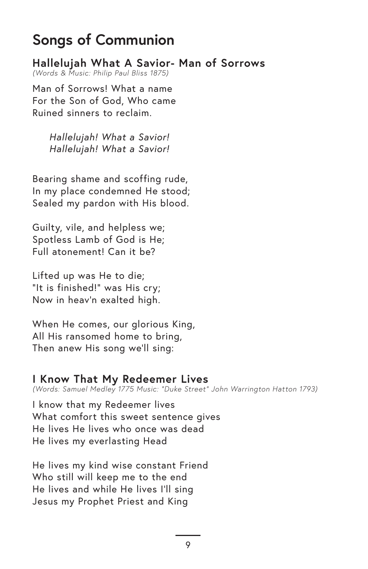# **Songs of Communion**

**Hallelujah What A Savior- Man of Sorrows** 

*(Words & Music: Philip Paul Bliss 1875)*

Man of Sorrows! What a name For the Son of God, Who came Ruined sinners to reclaim.

> *Hallelujah! What a Savior! Hallelujah! What a Savior!*

Bearing shame and scoffing rude, In my place condemned He stood; Sealed my pardon with His blood.

Guilty, vile, and helpless we; Spotless Lamb of God is He; Full atonement! Can it be?

Lifted up was He to die; "It is finished!" was His cry; Now in heav'n exalted high.

When He comes, our glorious King, All His ransomed home to bring, Then anew His song we'll sing:

#### **I Know That My Redeemer Lives**

*(Words: Samuel Medley 1775 Music: "Duke Street" John Warrington Hatton 1793)*

I know that my Redeemer lives What comfort this sweet sentence gives He lives He lives who once was dead He lives my everlasting Head

He lives my kind wise constant Friend Who still will keep me to the end He lives and while He lives I'll sing Jesus my Prophet Priest and King